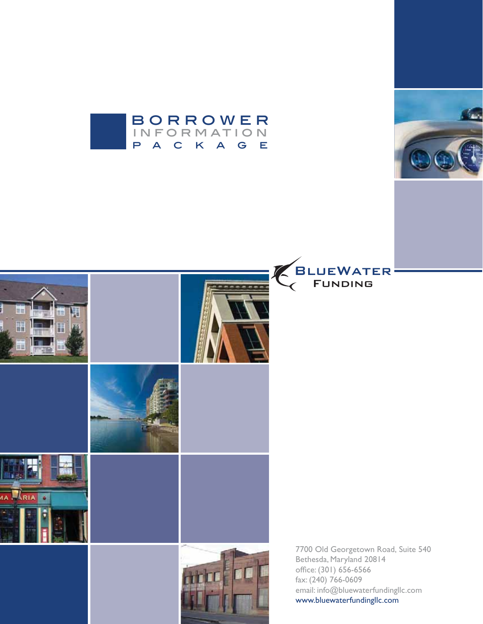







7700 Old Georgetown Road, Suite 540 Bethesda, Maryland 20814 office: (301) 656-6566 fax: (240) 766-0609 email: info@bluewaterfundingllc.com www.bluewaterfundingllc.com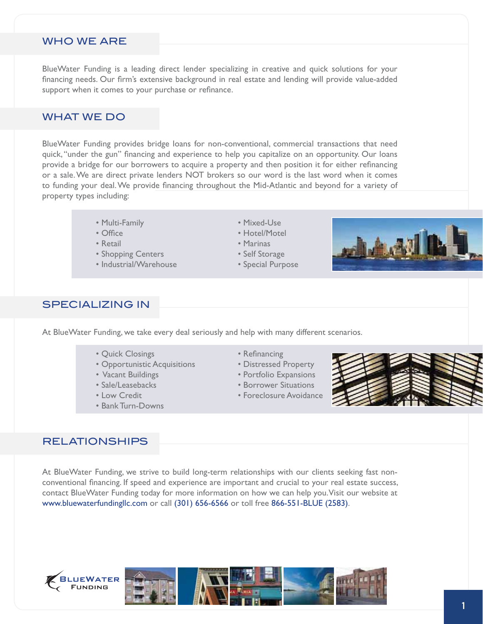#### WHO WE ARE

BlueWater Funding is a leading direct lender specializing in creative and quick solutions for your financing needs. Our firm's extensive background in real estate and lending will provide value-added support when it comes to your purchase or refinance.

### WHAT WE DO

BlueWater Funding provides bridge loans for non-conventional, commercial transactions that need quick, "under the gun" financing and experience to help you capitalize on an opportunity. Our loans provide a bridge for our borrowers to acquire a property and then position it for either refinancing or a sale. We are direct private lenders NOT brokers so our word is the last word when it comes to funding your deal. We provide financing throughout the Mid-Atlantic and beyond for a variety of property types including:

- Multi-Family **Contract Contract Contract Contract Contract Contract Contract Contract Contract Contract Contract Contract Contract Contract Contract Contract Contract Contract Contract Contract Contract Contract Contract**
- 
- 
- Shopping Centers **Calculation Control** extended the Self Storage
- s)NDUSTRIAL7AREHOUSE s3PECIAL0URPOSE
- 
- Office **Southern Contract Section Section Hotel/Motel**
- Retail **Contract Contract Contract Contract Contract Contract Contract Contract Contract Contract Contract Contract Contract Contract Contract Contract Contract Contract Contract Contract Contract Contract Contract Contr** 
	-
	-



#### SPECIALIZING IN

At BlueWater Funding, we take every deal seriously and help with many different scenarios.

- Quick Closings **Contains Contains Contains Contains Contains Contains Contains Contains Contains Contains Contains Contains Contains Contains Contains Contains Contains Contains Contains Contains Contains Contains Contai**
- Opportunistic Acquisitions Distressed Property
- 
- 
- 
- Bank Turn-Downs
- 
- 
- Vacant Buildings  **same vacant Buildings** some vacant of the Portfolio Expansions
- s3ALE,EASEBACKS s"ORROWER3ITUATIONS
- Low Credit **Contract Contract Contract Contract Contract Contract Contract Contract Contract Contract Contract Contract Contract Contract Contract Contract Contract Contract Contract Contract Contract Contract Contract C**



#### RELATIONSHIPS

At BlueWater Funding, we strive to build long-term relationships with our clients seeking fast nonconventional financing. If speed and experience are important and crucial to your real estate success, contact BlueWater Funding today for more information on how we can help you. Visit our website at www.bluewaterfundingllc.com or call (301) 656-6566 or toll free 866-551-BLUE (2583).



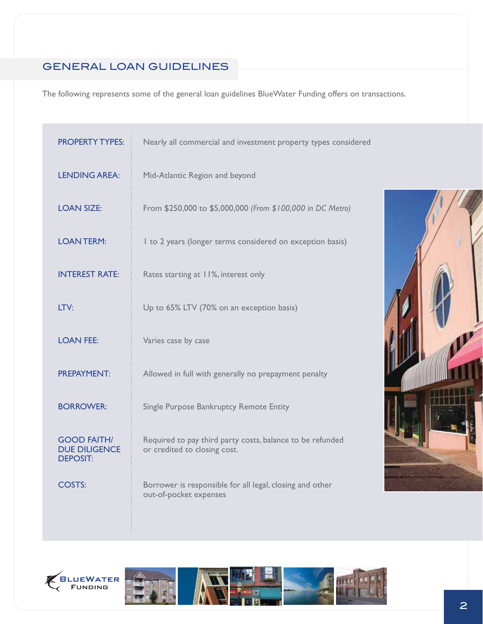# GENERAL LOAN GUIDELINES

The following represents some of the general loan guidelines BlueWater Funding offers on transactions.

| <b>PROPERTY TYPES:</b>                                        | Nearly all commercial and investment property types considered                            |  |  |
|---------------------------------------------------------------|-------------------------------------------------------------------------------------------|--|--|
| <b>LENDING AREA:</b>                                          | Mid-Atlantic Region and beyond                                                            |  |  |
| <b>LOAN SIZE:</b>                                             | From \$250,000 to \$5,000,000 (From \$100,000 in DC Metro)                                |  |  |
| <b>LOANTERM:</b>                                              | I to 2 years (longer terms considered on exception basis)                                 |  |  |
| <b>INTEREST RATE:</b>                                         | Rates starting at 11%, interest only                                                      |  |  |
| LTV:                                                          | Up to 65% LTV (70% on an exception basis)                                                 |  |  |
| <b>LOAN FEE:</b>                                              | Varies case by case                                                                       |  |  |
| <b>PREPAYMENT:</b>                                            | Allowed in full with generally no prepayment penalty                                      |  |  |
| <b>BORROWER:</b>                                              | Single Purpose Bankruptcy Remote Entity                                                   |  |  |
| <b>GOOD FAITH/</b><br><b>DUE DILIGENCE</b><br><b>DEPOSIT:</b> | Required to pay third party costs, balance to be refunded<br>or credited to closing cost. |  |  |
| COSTS:                                                        | Borrower is responsible for all legal, closing and other<br>out-of-pocket expenses        |  |  |





÷.

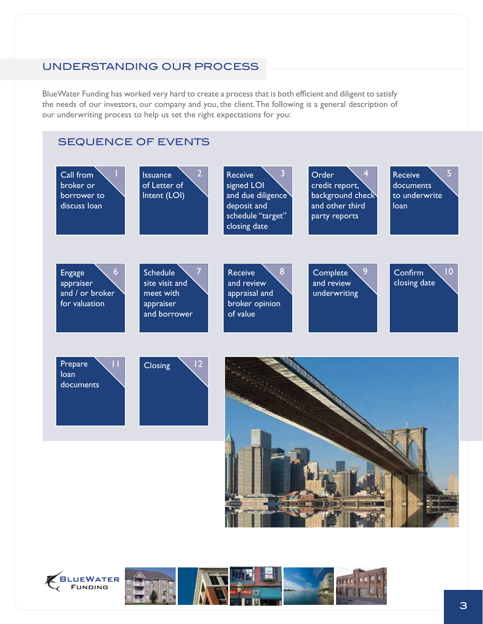## UNDERSTANDING OUR PROCESS

BlueWater Funding has worked very hard to create a process that is both efficient and diligent to satisfy the needs of our investors, our company and you, the client. The following is a general description of our underwriting process to help us set the right expectations for you:

## SEQUENCE OF EVENTS





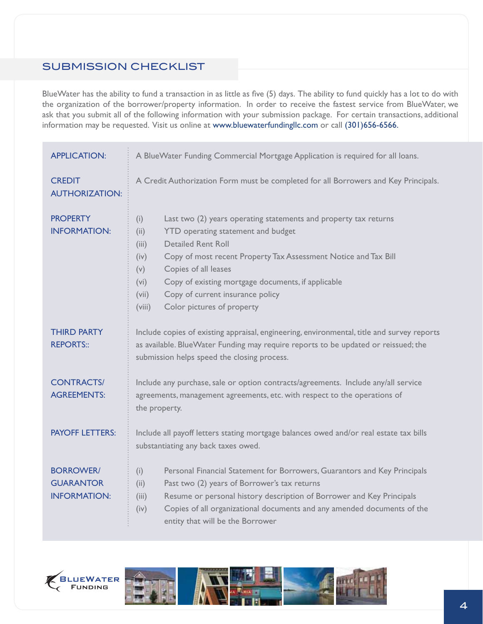# SUBMISSION CHECKLIST

BlueWater has the ability to fund a transaction in as little as five (5) days. The ability to fund quickly has a lot to do with the organization of the borrower/property information. In order to receive the fastest service from BlueWater, we ask that you submit all of the following information with your submission package. For certain transactions, additional information may be requested. Visit us online at www.bluewaterfundingllc.com or call (301)656-6566.

| <b>APPLICATION:</b>                                         | A BlueWater Funding Commercial Mortgage Application is required for all loans.                                                                                                                                                                                                                                                                                                                                           |  |  |
|-------------------------------------------------------------|--------------------------------------------------------------------------------------------------------------------------------------------------------------------------------------------------------------------------------------------------------------------------------------------------------------------------------------------------------------------------------------------------------------------------|--|--|
| <b>CREDIT</b><br><b>AUTHORIZATION:</b>                      | A Credit Authorization Form must be completed for all Borrowers and Key Principals.                                                                                                                                                                                                                                                                                                                                      |  |  |
| <b>PROPERTY</b><br><b>INFORMATION:</b>                      | Last two (2) years operating statements and property tax returns<br>(i)<br>YTD operating statement and budget<br>(ii)<br><b>Detailed Rent Roll</b><br>(iii)<br>Copy of most recent Property Tax Assessment Notice and Tax Bill<br>(iv)<br>Copies of all leases<br>(v)<br>Copy of existing mortgage documents, if applicable<br>(vi)<br>Copy of current insurance policy<br>(vii)<br>Color pictures of property<br>(viii) |  |  |
| <b>THIRD PARTY</b><br><b>REPORTS::</b>                      | Include copies of existing appraisal, engineering, environmental, title and survey reports<br>as available. BlueWater Funding may require reports to be updated or reissued; the<br>submission helps speed the closing process.                                                                                                                                                                                          |  |  |
| <b>CONTRACTS/</b><br><b>AGREEMENTS:</b>                     | Include any purchase, sale or option contracts/agreements. Include any/all service<br>agreements, management agreements, etc. with respect to the operations of<br>the property.                                                                                                                                                                                                                                         |  |  |
| <b>PAYOFF LETTERS:</b>                                      | Include all payoff letters stating mortgage balances owed and/or real estate tax bills<br>substantiating any back taxes owed.                                                                                                                                                                                                                                                                                            |  |  |
| <b>BORROWER/</b><br><b>GUARANTOR</b><br><b>INFORMATION:</b> | Personal Financial Statement for Borrowers, Guarantors and Key Principals<br>(i)<br>Past two (2) years of Borrower's tax returns<br>(ii)<br>Resume or personal history description of Borrower and Key Principals<br>(iii)<br>Copies of all organizational documents and any amended documents of the<br>(iv)<br>entity that will be the Borrower                                                                        |  |  |